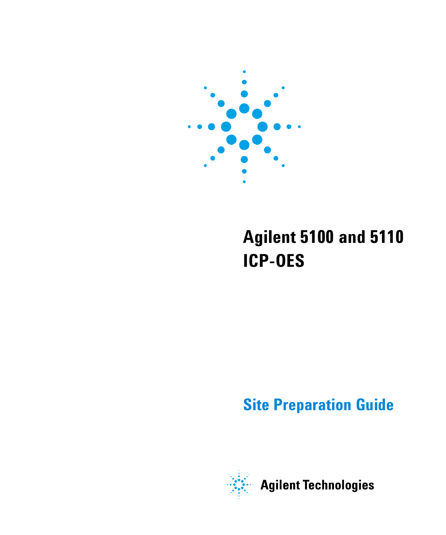

# **Agilent 5100 and 5110 ICP-OES**

# **Site Preparation Guide**



**Agilent Technologies**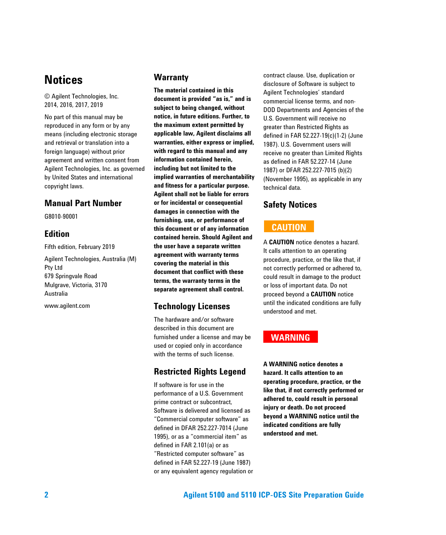## **Notices**

© Agilent Technologies, Inc. 2014, 2016, 2017, 2019

No part of this manual may be reproduced in any form or by any means (including electronic storage and retrieval or translation into a foreign language) without prior agreement and written consent from Agilent Technologies, Inc. as governed by United States and international copyright laws.

### **Manual Part Number**

G8010-90001

#### **Edition**

Fifth edition, February 2019

Agilent Technologies, Australia (M) Pty Ltd 679 Springvale Road Mulgrave, Victoria, 3170 Australia

www.agilent.com

#### **Warranty**

**The material contained in this document is provided "as is," and is subject to being changed, without notice, in future editions. Further, to the maximum extent permitted by applicable law, Agilent disclaims all warranties, either express or implied, with regard to this manual and any information contained herein, including but not limited to the implied warranties of merchantability and fitness for a particular purpose. Agilent shall not be liable for errors or for incidental or consequential damages in connection with the furnishing, use, or performance of this document or of any information contained herein. Should Agilent and the user have a separate written agreement with warranty terms covering the material in this document that conflict with these terms, the warranty terms in the separate agreement shall control.**

#### **Technology Licenses**

The hardware and/or software described in this document are furnished under a license and may be used or copied only in accordance with the terms of such license.

### **Restricted Rights Legend**

If software is for use in the performance of a U.S. Government prime contract or subcontract, Software is delivered and licensed as "Commercial computer software" as defined in DFAR 252.227-7014 (June 1995), or as a "commercial item" as defined in FAR 2.101(a) or as "Restricted computer software" as defined in FAR 52.227-19 (June 1987) or any equivalent agency regulation or contract clause. Use, duplication or disclosure of Software is subject to Agilent Technologies' standard commercial license terms, and non-DOD Departments and Agencies of the U.S. Government will receive no greater than Restricted Rights as defined in FAR 52.227-19(c)(1-2) (June 1987). U.S. Government users will receive no greater than Limited Rights as defined in FAR 52.227-14 (June 1987) or DFAR 252.227-7015 (b)(2) (November 1995), as applicable in any technical data.

### **Safety Notices**

### **CAUTION**

A **CAUTION** notice denotes a hazard. It calls attention to an operating procedure, practice, or the like that, if not correctly performed or adhered to, could result in damage to the product or loss of important data. Do not proceed beyond a **CAUTION** notice until the indicated conditions are fully understood and met.

### **WARNING**

**A WARNING notice denotes a hazard. It calls attention to an operating procedure, practice, or the like that, if not correctly performed or adhered to, could result in personal injury or death. Do not proceed beyond a WARNING notice until the indicated conditions are fully understood and met.**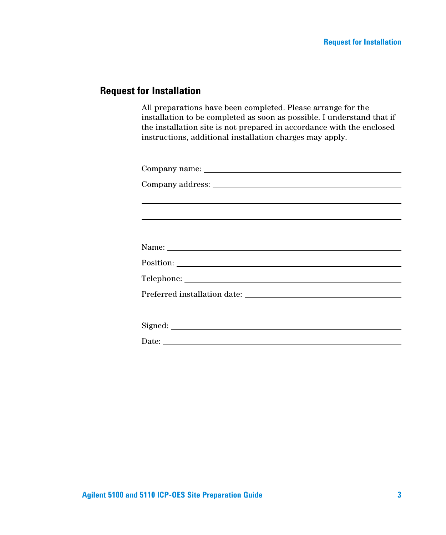### <span id="page-2-0"></span>**Request for Installation**

All preparations have been completed. Please arrange for the installation to be completed as soon as possible. I understand that if the installation site is not prepared in accordance with the enclosed instructions, additional installation charges may apply.

| Date: $\qquad \qquad$ |
|-----------------------|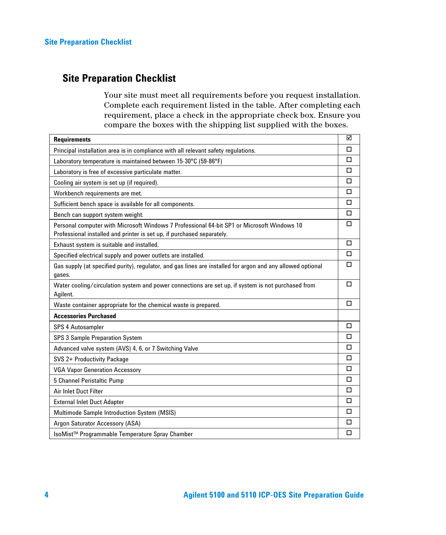### <span id="page-3-0"></span>**Site Preparation Checklist**

Your site must meet all requirements before you request installation. Complete each requirement listed in the table. After completing each requirement, place a check in the appropriate check box. Ensure you compare the boxes with the shipping list supplied with the boxes.

| <b>Requirements</b>                                                                                                                                                  | ☑ |
|----------------------------------------------------------------------------------------------------------------------------------------------------------------------|---|
| Principal installation area is in compliance with all relevant safety regulations.                                                                                   | п |
| Laboratory temperature is maintained between 15-30°C (59-86°F)                                                                                                       | п |
| Laboratory is free of excessive particulate matter.                                                                                                                  | п |
| Cooling air system is set up (if required).                                                                                                                          | п |
| Workbench requirements are met.                                                                                                                                      | п |
| Sufficient bench space is available for all components.                                                                                                              | п |
| Bench can support system weight.                                                                                                                                     | □ |
| Personal computer with Microsoft Windows 7 Professional 64-bit SP1 or Microsoft Windows 10<br>Professional installed and printer is set up, if purchased separately. | п |
| Exhaust system is suitable and installed.                                                                                                                            | п |
| Specified electrical supply and power outlets are installed.                                                                                                         | □ |
| Gas supply (at specified purity), regulator, and gas lines are installed for argon and any allowed optional<br>gases.                                                | п |
| Water cooling/circulation system and power connections are set up, if system is not purchased from<br>Agilent.                                                       | п |
| Waste container appropriate for the chemical waste is prepared.                                                                                                      | п |
| <b>Accessories Purchased</b>                                                                                                                                         |   |
| <b>SPS 4 Autosampler</b>                                                                                                                                             | п |
| <b>SPS 3 Sample Preparation System</b>                                                                                                                               | п |
| Advanced valve system (AVS) 4, 6, or 7 Switching Valve                                                                                                               | п |
| SVS 2+ Productivity Package                                                                                                                                          | п |
| <b>VGA Vapor Generation Accessory</b>                                                                                                                                | ◻ |
| 5 Channel Peristaltic Pump                                                                                                                                           | п |
| Air Inlet Duct Filter                                                                                                                                                | П |
| <b>External Inlet Duct Adapter</b>                                                                                                                                   | □ |
| Multimode Sample Introduction System (MSIS)                                                                                                                          | п |
| Argon Saturator Accessory (ASA)                                                                                                                                      | п |
| IsoMist™ Programmable Temperature Spray Chamber                                                                                                                      | □ |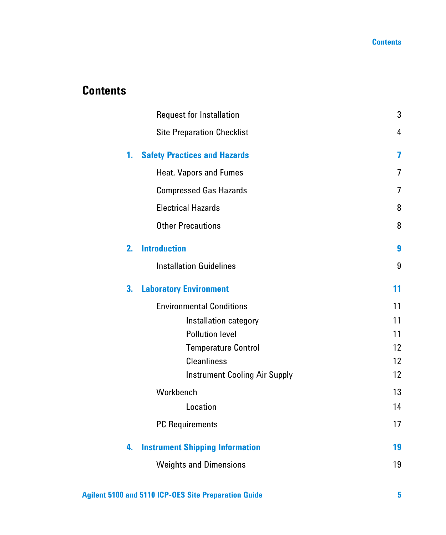### **Contents**

## **Contents**

|    | <b>Request for Installation</b>        | 3  |
|----|----------------------------------------|----|
|    | <b>Site Preparation Checklist</b>      | 4  |
| 1. | <b>Safety Practices and Hazards</b>    | 7  |
|    | <b>Heat, Vapors and Fumes</b>          | 7  |
|    | <b>Compressed Gas Hazards</b>          | 7  |
|    | <b>Electrical Hazards</b>              | 8  |
|    | <b>Other Precautions</b>               | 8  |
| 2. | <b>Introduction</b>                    | 9  |
|    | <b>Installation Guidelines</b>         | 9  |
| 3. | <b>Laboratory Environment</b>          | 11 |
|    | <b>Environmental Conditions</b>        | 11 |
|    | Installation category                  | 11 |
|    | <b>Pollution level</b>                 | 11 |
|    | <b>Temperature Control</b>             | 12 |
|    | <b>Cleanliness</b>                     | 12 |
|    | <b>Instrument Cooling Air Supply</b>   | 12 |
|    | Workbench                              | 13 |
|    | Location                               | 14 |
|    | <b>PC Requirements</b>                 | 17 |
| 4. | <b>Instrument Shipping Information</b> | 19 |
|    | <b>Weights and Dimensions</b>          | 19 |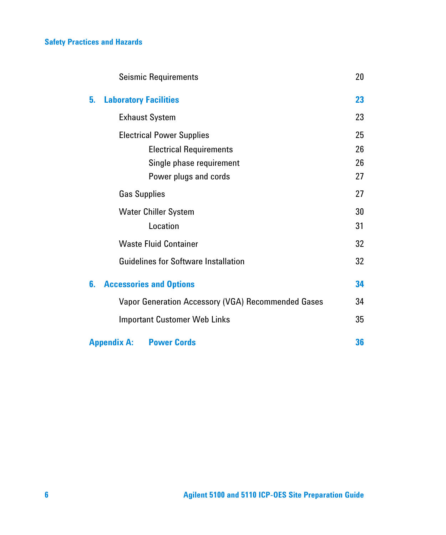### **Safety Practices and Hazards**

|    | <b>Seismic Requirements</b>                        | 20 |
|----|----------------------------------------------------|----|
| 5. | <b>Laboratory Facilities</b>                       | 23 |
|    | <b>Exhaust System</b>                              | 23 |
|    | <b>Electrical Power Supplies</b>                   | 25 |
|    | <b>Electrical Requirements</b>                     | 26 |
|    | Single phase requirement                           | 26 |
|    | Power plugs and cords                              | 27 |
|    | <b>Gas Supplies</b>                                | 27 |
|    | <b>Water Chiller System</b>                        | 30 |
|    | Location                                           | 31 |
|    | <b>Waste Fluid Container</b>                       | 32 |
|    | <b>Guidelines for Software Installation</b>        | 32 |
| 6. | <b>Accessories and Options</b>                     | 34 |
|    | Vapor Generation Accessory (VGA) Recommended Gases | 34 |
|    | <b>Important Customer Web Links</b>                | 35 |
|    | <b>Power Cords</b><br><b>Appendix A:</b>           | 36 |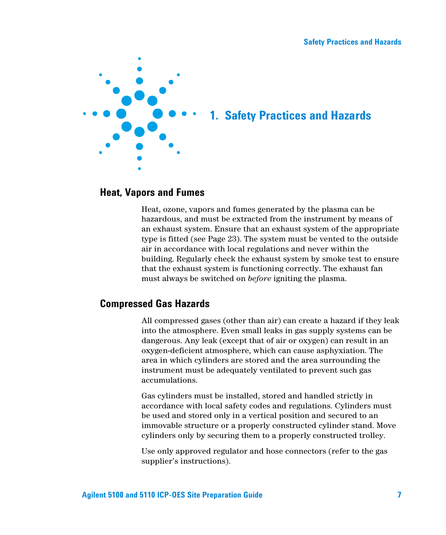<span id="page-6-0"></span>

### <span id="page-6-1"></span>**Heat, Vapors and Fumes**

Heat, ozone, vapors and fumes generated by the plasma can be hazardous, and must be extracted from the instrument by means of an exhaust system. Ensure that an exhaust system of the appropriate type is fitted (see Page [23\)](#page-22-1). The system must be vented to the outside air in accordance with local regulations and never within the building. Regularly check the exhaust system by smoke test to ensure that the exhaust system is functioning correctly. The exhaust fan must always be switched on *before* igniting the plasma.

### <span id="page-6-2"></span>**Compressed Gas Hazards**

All compressed gases (other than air) can create a hazard if they leak into the atmosphere. Even small leaks in gas supply systems can be dangerous. Any leak (except that of air or oxygen) can result in an oxygen-deficient atmosphere, which can cause asphyxiation. The area in which cylinders are stored and the area surrounding the instrument must be adequately ventilated to prevent such gas accumulations.

Gas cylinders must be installed, stored and handled strictly in accordance with local safety codes and regulations. Cylinders must be used and stored only in a vertical position and secured to an immovable structure or a properly constructed cylinder stand. Move cylinders only by securing them to a properly constructed trolley.

Use only approved regulator and hose connectors (refer to the gas supplier's instructions).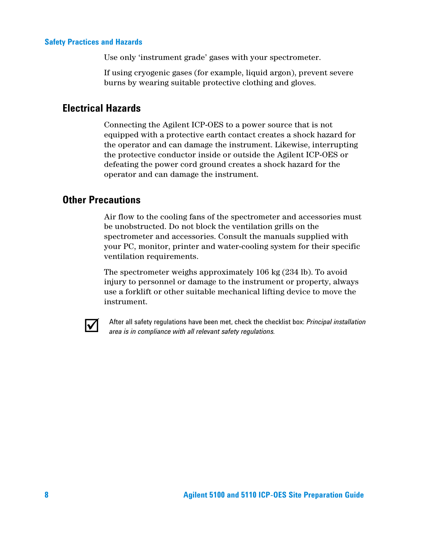#### **Safety Practices and Hazards**

Use only 'instrument grade' gases with your spectrometer.

If using cryogenic gases (for example, liquid argon), prevent severe burns by wearing suitable protective clothing and gloves.

### <span id="page-7-0"></span>**Electrical Hazards**

Connecting the Agilent ICP-OES to a power source that is not equipped with a protective earth contact creates a shock hazard for the operator and can damage the instrument. Likewise, interrupting the protective conductor inside or outside the Agilent ICP-OES or defeating the power cord ground creates a shock hazard for the operator and can damage the instrument.

### <span id="page-7-1"></span>**Other Precautions**

Air flow to the cooling fans of the spectrometer and accessories must be unobstructed. Do not block the ventilation grills on the spectrometer and accessories. Consult the manuals supplied with your PC, monitor, printer and water-cooling system for their specific ventilation requirements.

The spectrometer weighs approximately 106 kg (234 lb). To avoid injury to personnel or damage to the instrument or property, always use a forklift or other suitable mechanical lifting device to move the instrument.



 After all safety regulations have been met, check the checklist box: *Principal installation area is in compliance with all relevant safety regulations.*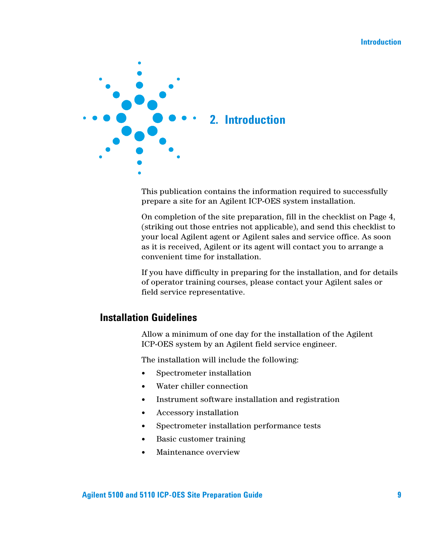<span id="page-8-0"></span>

This publication contains the information required to successfully prepare a site for an Agilent ICP-OES system installation.

On completion of the site preparation, fill in the checklist on Page 4, (striking out those entries not applicable), and send this checklist to your local Agilent agent or Agilent sales and service office. As soon as it is received, Agilent or its agent will contact you to arrange a convenient time for installation.

If you have difficulty in preparing for the installation, and for details of operator training courses, please contact your Agilent sales or field service representative.

### <span id="page-8-1"></span>**Installation Guidelines**

Allow a minimum of one day for the installation of the Agilent ICP-OES system by an Agilent field service engineer.

The installation will include the following:

- Spectrometer installation
- Water chiller connection
- Instrument software installation and registration
- Accessory installation
- Spectrometer installation performance tests
- Basic customer training
- Maintenance overview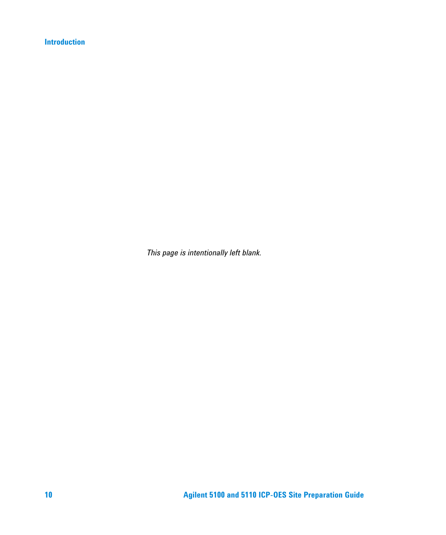**Introduction**

*This page is intentionally left blank.*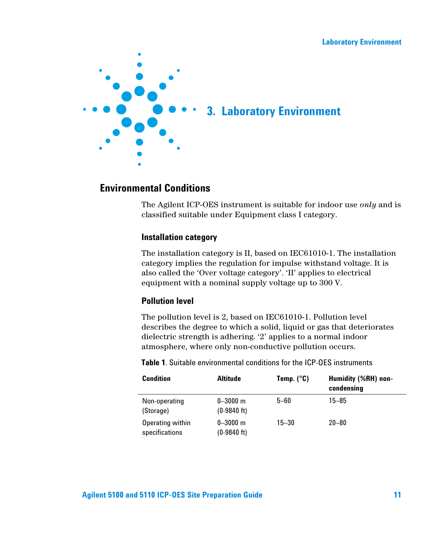<span id="page-10-0"></span>

### <span id="page-10-2"></span><span id="page-10-1"></span>**Environmental Conditions**

The Agilent ICP-OES instrument is suitable for indoor use *only* and is classified suitable under Equipment class I category.

### **Installation category**

The installation category is II, based on IEC61010-1. The installation category implies the regulation for impulse withstand voltage. It is also called the 'Over voltage category'. 'II' applies to electrical equipment with a nominal supply voltage up to 300 V.

### <span id="page-10-3"></span>**Pollution level**

The pollution level is 2, based on IEC61010-1. Pollution level describes the degree to which a solid, liquid or gas that deteriorates dielectric strength is adhering. '2' applies to a normal indoor atmosphere, where only non-conductive pollution occurs.

**Table 1**. Suitable environmental conditions for the ICP-OES instruments

| <b>Condition</b>                   | <b>Altitude</b>                       | Temp. (°C) | Humidity (%RH) non-<br>condensing |
|------------------------------------|---------------------------------------|------------|-----------------------------------|
| Non-operating<br>(Storage)         | $0 - 3000$ m<br>$(0.9840 \text{ ft})$ | $5 - 60$   | $15 - 85$                         |
| Operating within<br>specifications | $0 - 3000$ m<br>$(0.9840 \text{ ft})$ | $15 - 30$  | $20 - 80$                         |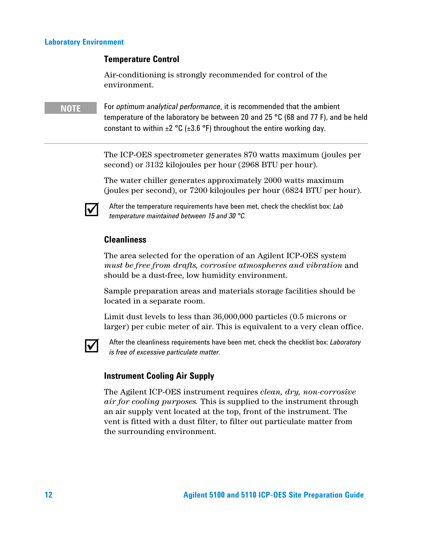#### **Temperature Control**

Air-conditioning is strongly recommended for control of the environment.

<span id="page-11-0"></span>**NOTE** For *optimum analytical performance*, it is recommended that the ambient temperature of the laboratory be between 20 and 25 °C (68 and 77 F), and be held constant to within  $\pm 2$  °C ( $\pm 3.6$  °F) throughout the entire working day.

> The ICP-OES spectrometer generates 870 watts maximum (joules per second) or 3132 kilojoules per hour (2968 BTU per hour).

> The water chiller generates approximately 2000 watts maximum (joules per second), or 7200 kilojoules per hour (6824 BTU per hour).



<span id="page-11-1"></span>After the temperature requirements have been met, check the checklist box: *Lab* **1999** *temperature maintained between 15 and 30 °C.*

### **Cleanliness**

The area selected for the operation of an Agilent ICP-OES system *must be free from drafts, corrosive atmospheres and vibration* and should be a dust-free, low humidity environment.

Sample preparation areas and materials storage facilities should be located in a separate room.

Limit dust levels to less than 36,000,000 particles (0.5 microns or larger) per cubic meter of air. This is equivalent to a very clean office.

<span id="page-11-2"></span>

After the cleanliness requirements have been met, check the checklist box: *Laboratory is free of excessive particulate matter.*

#### **Instrument Cooling Air Supply**

The Agilent ICP-OES instrument requires *clean, dry, non-corrosive air for cooling purposes.* This is supplied to the instrument through an air supply vent located at the top, front of the instrument. The vent is fitted with a dust filter, to filter out particulate matter from the surrounding environment.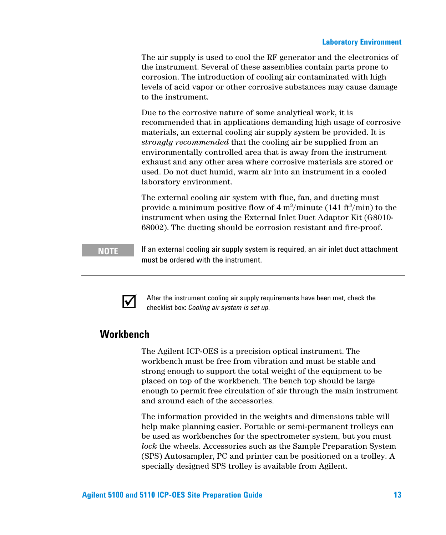The air supply is used to cool the RF generator and the electronics of the instrument. Several of these assemblies contain parts prone to corrosion. The introduction of cooling air contaminated with high levels of acid vapor or other corrosive substances may cause damage to the instrument.

Due to the corrosive nature of some analytical work, it is recommended that in applications demanding high usage of corrosive materials, an external cooling air supply system be provided. It is *strongly recommended* that the cooling air be supplied from an environmentally controlled area that is away from the instrument exhaust and any other area where corrosive materials are stored or used. Do not duct humid, warm air into an instrument in a cooled laboratory environment.

The external cooling air system with flue, fan, and ducting must provide a minimum positive flow of  $4\ \text{m}^3/\text{minute}$  (141 ft $^3/\text{min}$ ) to the instrument when using the External Inlet Duct Adaptor Kit (G8010- 68002). The ducting should be corrosion resistant and fire-proof.

**NOTE** If an external cooling air supply system is required, an air inlet duct attachment must be ordered with the instrument.



After the instrument cooling air supply requirements have been met, check the checklist box: *Cooling air system is set up.*

### <span id="page-12-0"></span>**Workbench**

The Agilent ICP-OES is a precision optical instrument. The workbench must be free from vibration and must be stable and strong enough to support the total weight of the equipment to be placed on top of the workbench. The bench top should be large enough to permit free circulation of air through the main instrument and around each of the accessories.

The information provided in the weights and dimensions table will help make planning easier. Portable or semi-permanent trolleys can be used as workbenches for the spectrometer system, but you must *lock* the wheels. Accessories such as the Sample Preparation System (SPS) Autosampler, PC and printer can be positioned on a trolley. A specially designed SPS trolley is available from Agilent.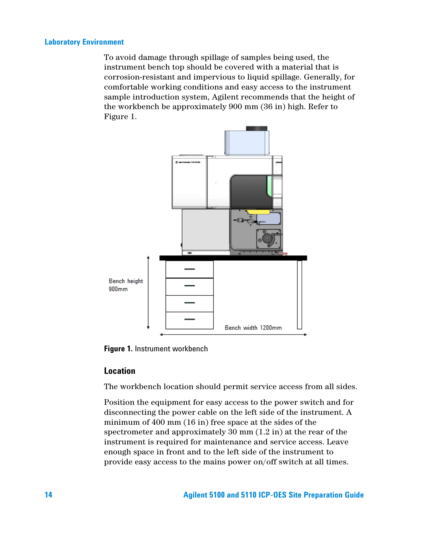To avoid damage through spillage of samples being used, the instrument bench top should be covered with a material that is corrosion-resistant and impervious to liquid spillage. Generally, for comfortable working conditions and easy access to the instrument sample introduction system, Agilent recommends that the height of the workbench be approximately 900 mm (36 in) high. Refer to Figure 1.



**Figure 1.** Instrument workbench

#### <span id="page-13-0"></span>**Location**

The workbench location should permit service access from all sides.

Position the equipment for easy access to the power switch and for disconnecting the power cable on the left side of the instrument. A minimum of 400 mm (16 in) free space at the sides of the spectrometer and approximately 30 mm (1.2 in) at the rear of the instrument is required for maintenance and service access. Leave enough space in front and to the left side of the instrument to provide easy access to the mains power on/off switch at all times.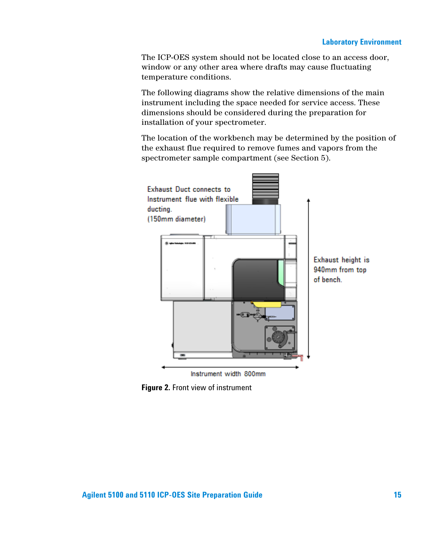The ICP-OES system should not be located close to an access door, window or any other area where drafts may cause fluctuating temperature conditions.

The following diagrams show the relative dimensions of the main instrument including the space needed for service access. These dimensions should be considered during the preparation for installation of your spectrometer.

The location of the workbench may be determined by the position of the exhaust flue required to remove fumes and vapors from the spectrometer sample compartment (see Section 5).



**Figure 2.** Front view of instrument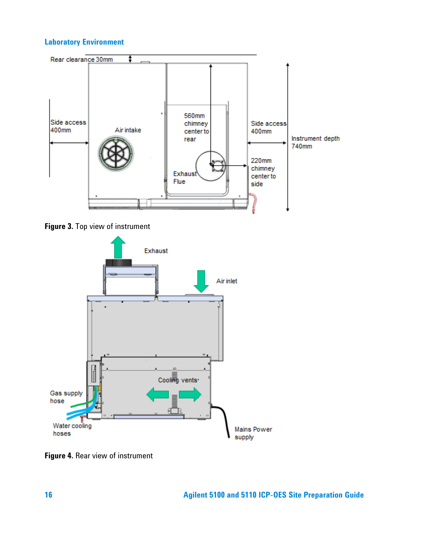

**Figure 3.** Top view of instrument



**Figure 4.** Rear view of instrument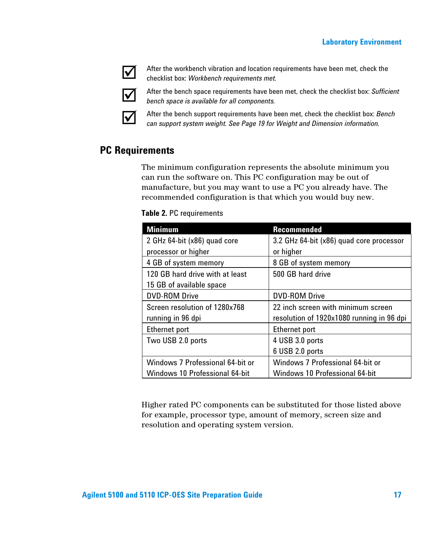

After the workbench vibration and location requirements have been met, check the checklist have *Morkbanch* requirements met checklist box: *Workbench requirements met.*



After the bench space requirements have been met, check the checklist box: *Sufficient*  $\sum_{k}$ *bench space is available for all components.*



After the bench support requirements have been met, check the checklist box: *Bench can support system weight. See Pag[e 19](#page-18-1) for Weight and Dimension information.*

### <span id="page-16-0"></span>**PC Requirements**

The minimum configuration represents the absolute minimum you can run the software on. This PC configuration may be out of manufacture, but you may want to use a PC you already have. The recommended configuration is that which you would buy new.

| <b>Minimum</b>                   | <b>Recommended</b>                        |
|----------------------------------|-------------------------------------------|
| 2 GHz 64-bit (x86) quad core     | 3.2 GHz 64-bit (x86) quad core processor  |
| processor or higher              | or higher                                 |
| 4 GB of system memory            | 8 GB of system memory                     |
| 120 GB hard drive with at least  | 500 GB hard drive                         |
| 15 GB of available space         |                                           |
| <b>DVD-ROM Drive</b>             | <b>DVD-ROM Drive</b>                      |
| Screen resolution of 1280x768    | 22 inch screen with minimum screen        |
| running in 96 dpi                | resolution of 1920x1080 running in 96 dpi |
| <b>Ethernet port</b>             | Ethernet port                             |
| Two USB 2.0 ports                | 4 USB 3.0 ports                           |
|                                  | 6 USB 2.0 ports                           |
| Windows 7 Professional 64-bit or | Windows 7 Professional 64-bit or          |
| Windows 10 Professional 64-bit   | Windows 10 Professional 64-bit            |

Higher rated PC components can be substituted for those listed above for example, processor type, amount of memory, screen size and resolution and operating system version.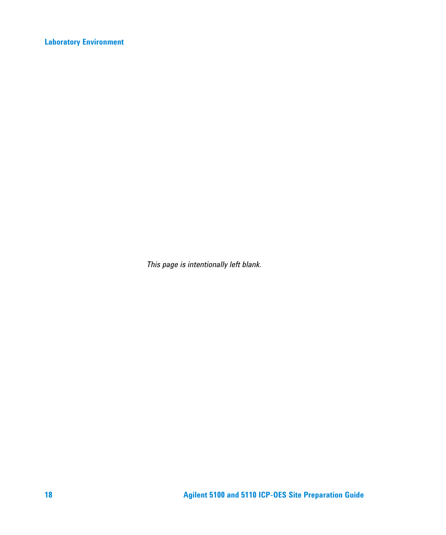*This page is intentionally left blank.*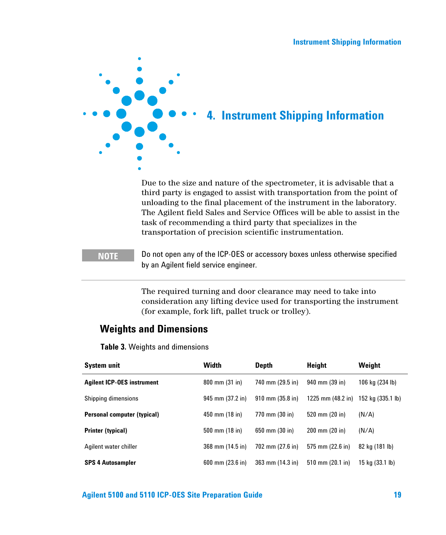

## <span id="page-18-0"></span>**4. Instrument Shipping Information**

Due to the size and nature of the spectrometer, it is advisable that a third party is engaged to assist with transportation from the point of unloading to the final placement of the instrument in the laboratory. The Agilent field Sales and Service Offices will be able to assist in the task of recommending a third party that specializes in the transportation of precision scientific instrumentation.

**NOTE** Do not open any of the ICP-OES or accessory boxes unless otherwise specified by an Agilent field service engineer.

> The required turning and door clearance may need to take into consideration any lifting device used for transporting the instrument (for example, fork lift, pallet truck or trolley).

### <span id="page-18-1"></span>**Weights and Dimensions**

**Table 3.** Weights and dimensions

| System unit                       | Width                            | Depth                      | <b>Height</b>              | Weight            |
|-----------------------------------|----------------------------------|----------------------------|----------------------------|-------------------|
| <b>Agilent ICP-OES instrument</b> | $800 \text{ mm} (31 \text{ in})$ | 740 mm (29.5 in)           | 940 mm (39 in)             | 106 kg (234 lb)   |
| Shipping dimensions               | 945 mm (37.2 in)                 | $910 \text{ mm}$ (35.8 in) | 1225 mm (48.2 in)          | 152 kg (335.1 lb) |
| Personal computer (typical)       | $450 \text{ mm}$ (18 in)         | 770 mm (30 in)             | 520 mm (20 in)             | (N/A)             |
| Printer (typical)                 | 500 mm $(18 in)$                 | $650 \, \text{mm}$ (30 in) | $200 \, \text{mm}$ (20 in) | (N/A)             |
| Agilent water chiller             | $368$ mm $(14.5)$ in             | 702 mm (27.6 in)           | 575 mm (22.6 in)           | 82 kg (181 lb)    |
| <b>SPS 4 Autosampler</b>          | $600 \text{ mm}$ (23.6 in)       | $363 \text{ mm}$ (14.3 in) | $510 \text{ mm}$ (20.1 in) | 15 kg (33.1 lb)   |

#### **Agilent 5100 and 5110 ICP-OES Site Preparation Guide 19**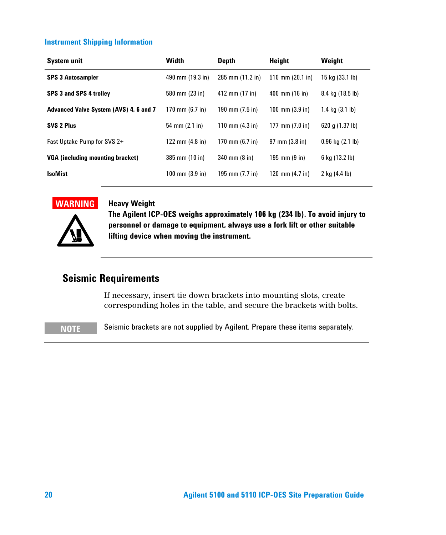### **Instrument Shipping Information**

| <b>System unit</b>                      | Width                             | Depth                            | Height                           | Weight                    |
|-----------------------------------------|-----------------------------------|----------------------------------|----------------------------------|---------------------------|
| <b>SPS 3 Autosampler</b>                | 490 mm (19.3 in)                  | $285$ mm $(11.2$ in)             | $510 \text{ mm}$ (20.1 in)       | 15 kg (33.1 lb)           |
| <b>SPS 3 and SPS 4 trolley</b>          | 580 mm (23 in)                    | $412 \text{ mm} (17 \text{ in})$ | 400 mm (16 in)                   | 8.4 kg (18.5 lb)          |
| Advanced Valve System (AVS) 4, 6 and 7  | 170 mm $(6.7 \text{ in})$         | 190 mm $(7.5 \text{ in})$        | 100 mm $(3.9)$ in                | 1.4 kg $(3.1 \text{ lb})$ |
| <b>SVS 2 Plus</b>                       | 54 mm $(2.1 \text{ in})$          | 110 mm $(4.3 \text{ in})$        | 177 mm $(7.0 \text{ in})$        | 620 q $(1.37 \text{ lb})$ |
| Fast Uptake Pump for SVS 2+             | 122 mm $(4.8 \text{ in})$         | 170 mm $(6.7 \text{ in})$        | $97 \text{ mm} (3.8 \text{ in})$ | $0.96$ kg $(2.1$ lb)      |
| <b>VGA</b> (including mounting bracket) | $385$ mm $(10$ in)                | $340 \text{ mm}$ (8 in)          | 195 mm $(9 \text{ in})$          | 6 kg (13.2 lb)            |
| <b>IsoMist</b>                          | $100 \text{ mm} (3.9 \text{ in})$ | 195 mm $(7.7 \text{ in})$        | 120 mm $(4.7 \text{ in})$        | $2$ kg $(4.4 \text{ lb})$ |





**The Agilent ICP-OES weighs approximately 106 kg (234 lb). To avoid injury to personnel or damage to equipment, always use a fork lift or other suitable lifting device when moving the instrument.** 

### <span id="page-19-0"></span>**Seismic Requirements**

If necessary, insert tie down brackets into mounting slots, create corresponding holes in the table, and secure the brackets with bolts.

**NOTE** Seismic brackets are not supplied by Agilent. Prepare these items separately.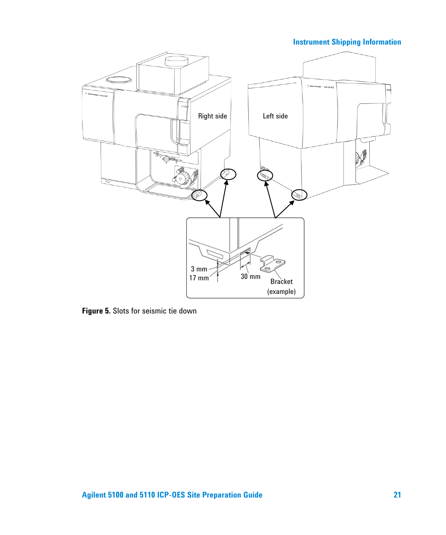### **Instrument Shipping Information**



**Figure 5.** Slots for seismic tie down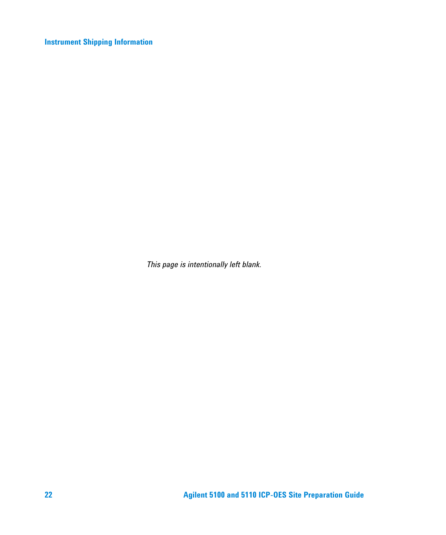**Instrument Shipping Information**

*This page is intentionally left blank.*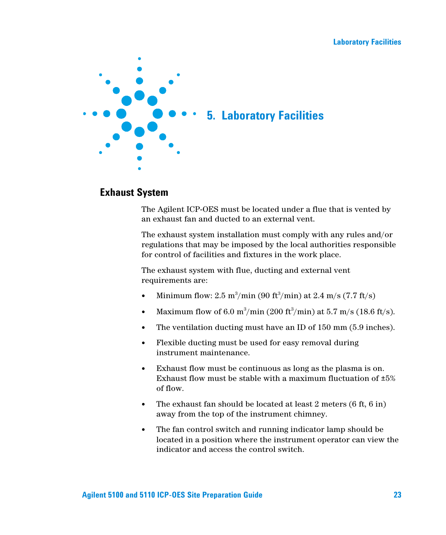<span id="page-22-0"></span>

### <span id="page-22-1"></span>**Exhaust System**

The Agilent ICP-OES must be located under a flue that is vented by an exhaust fan and ducted to an external vent.

The exhaust system installation must comply with any rules and/or regulations that may be imposed by the local authorities responsible for control of facilities and fixtures in the work place.

The exhaust system with flue, ducting and external vent requirements are:

- Minimum flow:  $2.5 \text{ m}^3/\text{min}$  (90 ft $^3/\text{min}$ ) at  $2.4 \text{ m/s}$  (7.7 ft/s)
- Maximum flow of 6.0 m<sup>3</sup>/min (200 ft<sup>3</sup>/min) at 5.7 m/s (18.6 ft/s).
- The ventilation ducting must have an ID of 150 mm (5.9 inches).
- Flexible ducting must be used for easy removal during instrument maintenance.
- Exhaust flow must be continuous as long as the plasma is on. Exhaust flow must be stable with a maximum fluctuation of ±5% of flow.
- The exhaust fan should be located at least 2 meters  $(6 \text{ ft}, 6 \text{ in})$ away from the top of the instrument chimney.
- The fan control switch and running indicator lamp should be located in a position where the instrument operator can view the indicator and access the control switch.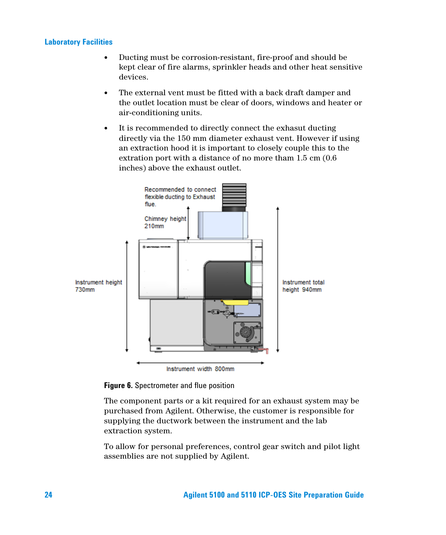- Ducting must be corrosion-resistant, fire-proof and should be kept clear of fire alarms, sprinkler heads and other heat sensitive devices.
- The external vent must be fitted with a back draft damper and the outlet location must be clear of doors, windows and heater or air-conditioning units.
- It is recommended to directly connect the exhasut ducting directly via the 150 mm diameter exhaust vent. However if using an extraction hood it is important to closely couple this to the extration port with a distance of no more tham 1.5 cm (0.6 inches) above the exhaust outlet.



**Figure 6.** Spectrometer and flue position

The component parts or a kit required for an exhaust system may be purchased from Agilent. Otherwise, the customer is responsible for supplying the ductwork between the instrument and the lab extraction system.

To allow for personal preferences, control gear switch and pilot light assemblies are not supplied by Agilent.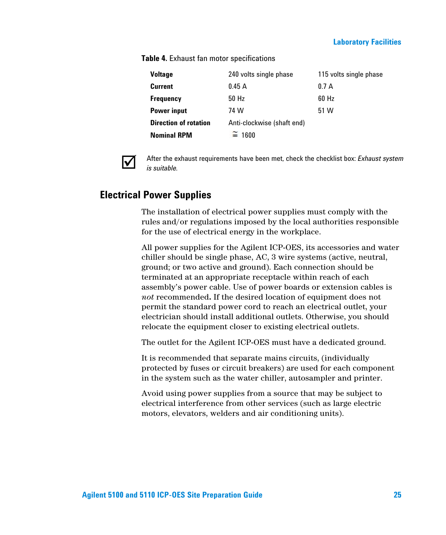**Table 4.** Exhaust fan motor specifications

| Voltage                      | 240 volts single phase     | 115 volts single phase |
|------------------------------|----------------------------|------------------------|
| <b>Current</b>               | 0.45A                      | 0.7 A                  |
| <b>Frequency</b>             | 50 Hz                      | 60 Hz                  |
| <b>Power input</b>           | 74 W                       | 51 W                   |
| <b>Direction of rotation</b> | Anti-clockwise (shaft end) |                        |
| <b>Nominal RPM</b>           | $\cong 1600$               |                        |



 After the exhaust requirements have been met, check the checklist box: *Exhaust system is suitable.*

### <span id="page-24-0"></span>**Electrical Power Supplies**

The installation of electrical power supplies must comply with the rules and/or regulations imposed by the local authorities responsible for the use of electrical energy in the workplace.

All power supplies for the Agilent ICP-OES, its accessories and water chiller should be single phase, AC, 3 wire systems (active, neutral, ground; or two active and ground). Each connection should be terminated at an appropriate receptacle within reach of each assembly's power cable. Use of power boards or extension cables is *not* recommended**.** If the desired location of equipment does not permit the standard power cord to reach an electrical outlet, your electrician should install additional outlets. Otherwise, you should relocate the equipment closer to existing electrical outlets.

The outlet for the Agilent ICP-OES must have a dedicated ground.

It is recommended that separate mains circuits, (individually protected by fuses or circuit breakers) are used for each component in the system such as the water chiller, autosampler and printer.

Avoid using power supplies from a source that may be subject to electrical interference from other services (such as large electric motors, elevators, welders and air conditioning units).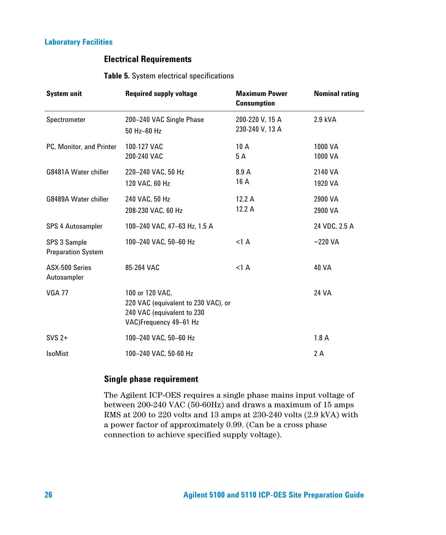### **Electrical Requirements**

#### **Table 5.** System electrical specifications

<span id="page-25-0"></span>

| <b>System unit</b>                        | <b>Required supply voltage</b>                                                                                 | <b>Maximum Power</b><br><b>Consumption</b> | <b>Nominal rating</b> |
|-------------------------------------------|----------------------------------------------------------------------------------------------------------------|--------------------------------------------|-----------------------|
| Spectrometer                              | 200-240 VAC Single Phase<br>50 Hz-60 Hz                                                                        | 200-220 V, 15 A<br>230-240 V. 13 A         | 2.9 kVA               |
| PC, Monitor, and Printer                  | 100-127 VAC<br>200-240 VAC                                                                                     | 10A<br>5 A                                 | 1000 VA<br>1000 VA    |
| G8481A Water chiller                      | 220-240 VAC, 50 Hz<br>120 VAC, 60 Hz                                                                           | 8.9 A<br>16 A                              | 2140 VA<br>1920 VA    |
| G8489A Water chiller                      | 240 VAC, 50 Hz<br>208-230 VAC, 60 Hz                                                                           | 12.2A<br>12.2 A                            | 2900 VA<br>2900 VA    |
| <b>SPS 4 Autosampler</b>                  | 100-240 VAC, 47-63 Hz, 1.5 A                                                                                   |                                            | 24 VDC, 2.5 A         |
| SPS 3 Sample<br><b>Preparation System</b> | 100-240 VAC, 50-60 Hz                                                                                          | $<$ 1 A                                    | $~220$ VA             |
| ASX-500 Series<br>Autosampler             | 85-264 VAC                                                                                                     | $<$ 1 A                                    | 40 VA                 |
| <b>VGA 77</b>                             | 100 or 120 VAC.<br>220 VAC (equivalent to 230 VAC), or<br>240 VAC (equivalent to 230<br>VAC)Frequency 49-61 Hz |                                            | 24 VA                 |
| $SVS$ 2+                                  | 100-240 VAC, 50-60 Hz                                                                                          |                                            | 1.8A                  |
| <b>IsoMist</b>                            | 100-240 VAC, 50-60 Hz                                                                                          |                                            | 2 A                   |

### <span id="page-25-1"></span>**Single phase requirement**

The Agilent ICP-OES requires a single phase mains input voltage of between 200-240 VAC (50-60Hz) and draws a maximum of 15 amps RMS at 200 to 220 volts and 13 amps at 230-240 volts (2.9 kVA) with a power factor of approximately 0.99. (Can be a cross phase connection to achieve specified supply voltage).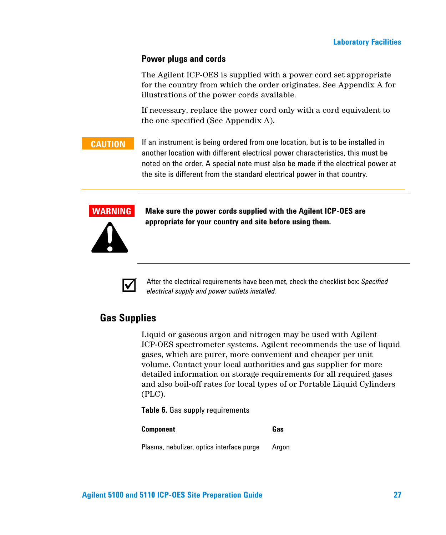#### <span id="page-26-0"></span>**Power plugs and cords**

The Agilent ICP-OES is supplied with a power cord set appropriate for the country from which the order originates. See Appendix A for illustrations of the power cords available.

If necessary, replace the power cord only with a cord equivalent to the one specified (See Appendix A).

**CAUTION** If an instrument is being ordered from one location, but is to be installed in another location with different electrical power characteristics, this must be noted on the order. A special note must also be made if the electrical power at the site is different from the standard electrical power in that country.



**WARNING Make sure the power cords supplied with the Agilent ICP-OES are appropriate for your country and site before using them.**

|--|--|

 After the electrical requirements have been met, check the checklist box: *Specified electrical supply and power outlets installed.*

### <span id="page-26-1"></span>**Gas Supplies**

Liquid or gaseous argon and nitrogen may be used with Agilent ICP-OES spectrometer systems. Agilent recommends the use of liquid gases, which are purer, more convenient and cheaper per unit volume. Contact your local authorities and gas supplier for more detailed information on storage requirements for all required gases and also boil-off rates for local types of or Portable Liquid Cylinders (PLC).

**Table 6.** Gas supply requirements

| <b>Component</b>                          | Gas   |
|-------------------------------------------|-------|
| Plasma, nebulizer, optics interface purge | Araon |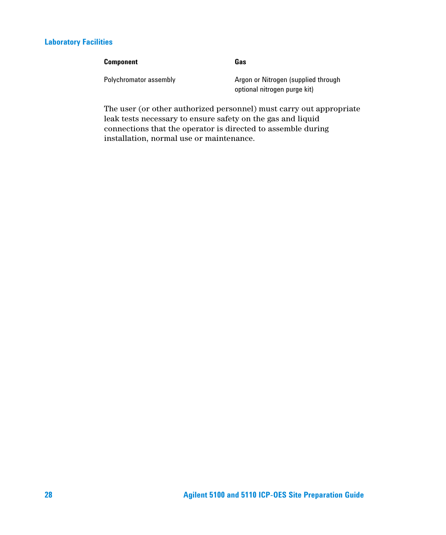| Component | Gas |
|-----------|-----|
|           |     |

Polychromator assembly **Argon or Nitrogen** (supplied through optional nitrogen purge kit)

The user (or other authorized personnel) must carry out appropriate leak tests necessary to ensure safety on the gas and liquid connections that the operator is directed to assemble during installation, normal use or maintenance.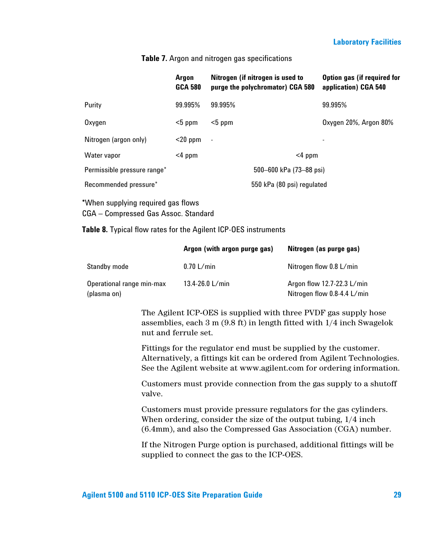#### **Table 7.** Argon and nitrogen gas specifications

|                             | Argon<br><b>GCA 580</b> | Nitrogen (if nitrogen is used to<br>purge the polychromator) CGA 580 | Option gas (if required for<br>application) CGA 540 |
|-----------------------------|-------------------------|----------------------------------------------------------------------|-----------------------------------------------------|
| Purity                      | 99.995%                 | 99.995%                                                              | 99.995%                                             |
| Oxygen                      | $<$ 5 ppm               | $<$ 5 ppm                                                            | Oxygen 20%, Argon 80%                               |
| Nitrogen (argon only)       | $<$ 20 ppm              | $\overline{\phantom{a}}$                                             |                                                     |
| Water vapor                 | $<$ 4 ppm               | $<$ 4 ppm                                                            |                                                     |
| Permissible pressure range* |                         | 500–600 kPa (73–88 psi)                                              |                                                     |
| Recommended pressure*       |                         | 550 kPa (80 psi) regulated                                           |                                                     |

**\***When supplying required gas flows CGA – Compressed Gas Assoc. Standard

**Table 8.** Typical flow rates for the Agilent ICP-OES instruments

|                                          | Argon (with argon purge gas) | Nitrogen (as purge gas)                                   |
|------------------------------------------|------------------------------|-----------------------------------------------------------|
| Standby mode                             | $0.70$ L/min                 | Nitrogen flow 0.8 L/min                                   |
| Operational range min-max<br>(plasma on) | 13.4-26.0 L/min              | Argon flow 12.7-22.3 L/min<br>Nitrogen flow 0.8-4.4 L/min |

The Agilent ICP-OES is supplied with three PVDF gas supply hose assemblies, each 3 m (9.8 ft) in length fitted with 1/4 inch Swagelok nut and ferrule set.

Fittings for the regulator end must be supplied by the customer. Alternatively, a fittings kit can be ordered from Agilent Technologies. See the Agilent website at www.agilent.com for ordering information.

Customers must provide connection from the gas supply to a shutoff valve.

Customers must provide pressure regulators for the gas cylinders. When ordering, consider the size of the output tubing, 1/4 inch (6.4mm), and also the Compressed Gas Association (CGA) number.

If the Nitrogen Purge option is purchased, additional fittings will be supplied to connect the gas to the ICP-OES.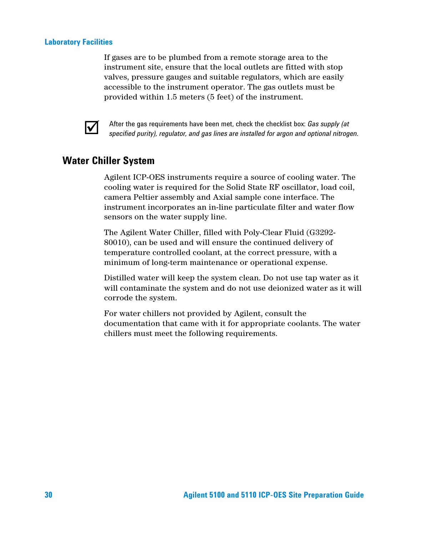If gases are to be plumbed from a remote storage area to the instrument site, ensure that the local outlets are fitted with stop valves, pressure gauges and suitable regulators, which are easily accessible to the instrument operator. The gas outlets must be provided within 1.5 meters (5 feet) of the instrument.



After the gas requirements have been met, check the checklist box: *Gas supply (at specified purity), regulator, and gas lines are installed for argon and optional nitrogen.*

### <span id="page-29-0"></span>**Water Chiller System**

Agilent ICP-OES instruments require a source of cooling water. The cooling water is required for the Solid State RF oscillator, load coil, camera Peltier assembly and Axial sample cone interface. The instrument incorporates an in-line particulate filter and water flow sensors on the water supply line.

The Agilent Water Chiller, filled with Poly-Clear Fluid (G3292- 80010), can be used and will ensure the continued delivery of temperature controlled coolant, at the correct pressure, with a minimum of long-term maintenance or operational expense.

Distilled water will keep the system clean. Do not use tap water as it will contaminate the system and do not use deionized water as it will corrode the system.

For water chillers not provided by Agilent, consult the documentation that came with it for appropriate coolants. The water chillers must meet the following requirements.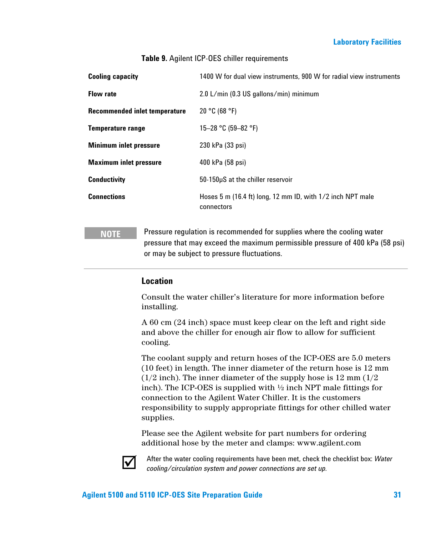| <b>Cooling capacity</b>       | 1400 W for dual view instruments, 900 W for radial view instruments                  |
|-------------------------------|--------------------------------------------------------------------------------------|
| <b>Flow rate</b>              | 2.0 L/min (0.3 US gallons/min) minimum                                               |
| Recommended inlet temperature | 20 °C (68 °F)                                                                        |
| <b>Temperature range</b>      | 15-28 °C (59-82 °F)                                                                  |
| Minimum inlet pressure        | 230 kPa (33 psi)                                                                     |
| <b>Maximum inlet pressure</b> | 400 kPa (58 psi)                                                                     |
| <b>Conductivity</b>           | 50-150µS at the chiller reservoir                                                    |
| <b>Connections</b>            | Hoses 5 m $(16.4 \text{ ft})$ long, 12 mm ID, with $1/2$ inch NPT male<br>connectors |

#### **Table 9.** Agilent ICP-OES chiller requirements

<span id="page-30-0"></span>**NOTE** Pressure regulation is recommended for supplies where the cooling water pressure that may exceed the maximum permissible pressure of 400 kPa (58 psi) or may be subject to pressure fluctuations.

#### **Location**

Consult the water chiller's literature for more information before installing.

A 60 cm (24 inch) space must keep clear on the left and right side and above the chiller for enough air flow to allow for sufficient cooling.

The coolant supply and return hoses of the ICP-OES are 5.0 meters (10 feet) in length. The inner diameter of the return hose is 12 mm  $(1/2 \text{ inch})$ . The inner diameter of the supply hose is 12 mm  $(1/2 \text{ inch})$ . inch). The ICP-OES is supplied with ½ inch NPT male fittings for connection to the Agilent Water Chiller. It is the customers responsibility to supply appropriate fittings for other chilled water supplies.

Please see the Agilent website for part numbers for ordering additional hose by the meter and clamps: www.agilent.com



 After the water cooling requirements have been met, check the checklist box: *Water cooling/circulation system and power connections are set up.*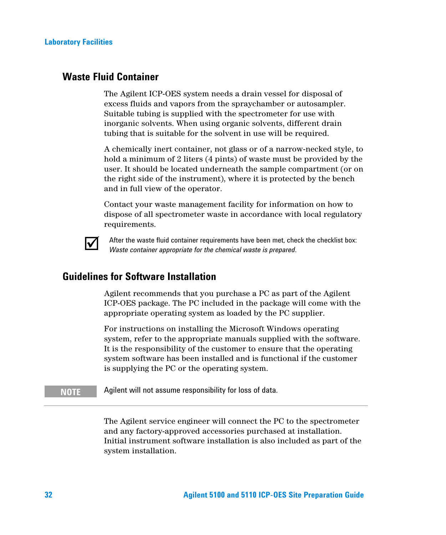### <span id="page-31-0"></span>**Waste Fluid Container**

The Agilent ICP-OES system needs a drain vessel for disposal of excess fluids and vapors from the spraychamber or autosampler. Suitable tubing is supplied with the spectrometer for use with inorganic solvents. When using organic solvents, different drain tubing that is suitable for the solvent in use will be required.

A chemically inert container, not glass or of a narrow-necked style, to hold a minimum of 2 liters (4 pints) of waste must be provided by the user. It should be located underneath the sample compartment (or on the right side of the instrument), where it is protected by the bench and in full view of the operator.

Contact your waste management facility for information on how to dispose of all spectrometer waste in accordance with local regulatory requirements.



 $\boldsymbol{\mathcal{A}}$  After the waste fluid container requirements have been met, check the checklist box: *Waste container appropriate for the chemical waste is prepared*.

### <span id="page-31-1"></span>**Guidelines for Software Installation**

Agilent recommends that you purchase a PC as part of the Agilent ICP-OES package. The PC included in the package will come with the appropriate operating system as loaded by the PC supplier.

For instructions on installing the Microsoft Windows operating system, refer to the appropriate manuals supplied with the software. It is the responsibility of the customer to ensure that the operating system software has been installed and is functional if the customer is supplying the PC or the operating system.

**NOTE** Agilent will not assume responsibility for loss of data.

The Agilent service engineer will connect the PC to the spectrometer and any factory-approved accessories purchased at installation. Initial instrument software installation is also included as part of the system installation.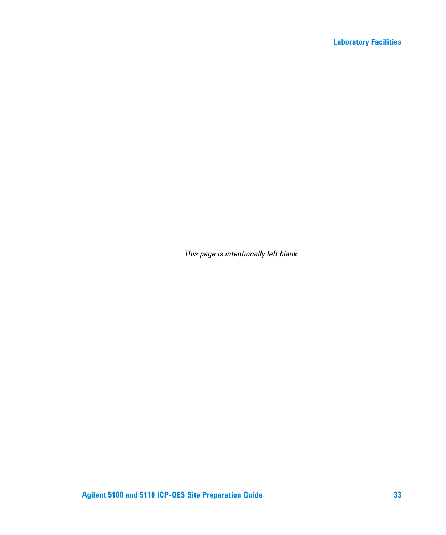*This page is intentionally left blank.*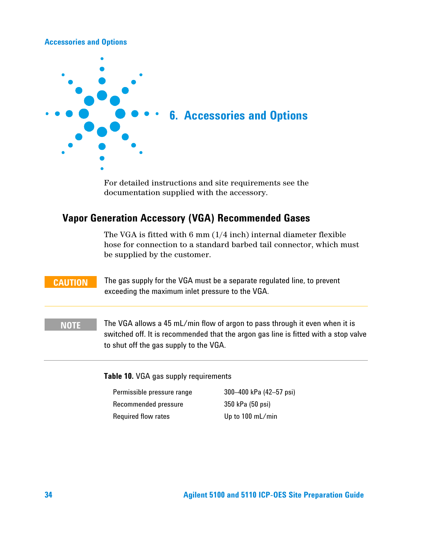#### <span id="page-33-0"></span>**Accessories and Options**



For detailed instructions and site requirements see the documentation supplied with the accessory.

### <span id="page-33-1"></span>**Vapor Generation Accessory (VGA) Recommended Gases**

The VGA is fitted with 6 mm (1/4 inch) internal diameter flexible hose for connection to a standard barbed tail connector, which must be supplied by the customer.

**CAUTION** The gas supply for the VGA must be a separate regulated line, to prevent exceeding the maximum inlet pressure to the VGA.

**NOTE** The VGA allows a 45 mL/min flow of argon to pass through it even when it is switched off. It is recommended that the argon gas line is fitted with a stop valve to shut off the gas supply to the VGA.

#### **Table 10.** VGA gas supply requirements

| Permissible pressure range | 300-400 kPa (42-57 psi) |
|----------------------------|-------------------------|
| Recommended pressure       | 350 kPa (50 psi)        |
| Required flow rates        | Up to $100$ mL/min      |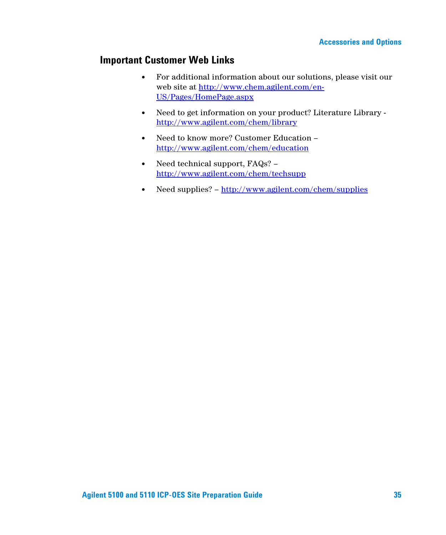### <span id="page-34-0"></span>**Important Customer Web Links**

- For additional information about our solutions, please visit our web site at [http://www.chem.agilent.com/en-](http://www.chem.agilent.com/en-US/Pages/HomePage.aspx)[US/Pages/HomePage.aspx](http://www.chem.agilent.com/en-US/Pages/HomePage.aspx)
- Need to get information on your product? Literature Library <http://www.agilent.com/chem/library>
- Need to know more? Customer Education <http://www.agilent.com/chem/education>
- Need technical support, FAQs? <http://www.agilent.com/chem/techsupp>
- Need supplies? <http://www.agilent.com/chem/supplies>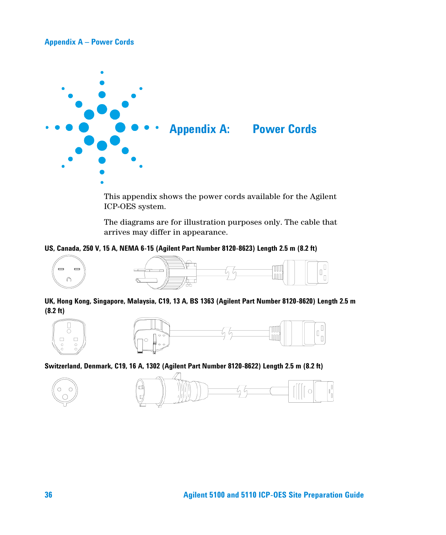#### **Appendix A – Power Cords**

<span id="page-35-0"></span>

This appendix shows the power cords available for the Agilent ICP-OES system.

The diagrams are for illustration purposes only. The cable that arrives may differ in appearance.

**US, Canada, 250 V, 15 A, NEMA 6-15 (Agilent Part Number 8120-8623) Length 2.5 m (8.2 ft)**



#### **UK, Hong Kong, Singapore, Malaysia, C19, 13 A, BS 1363 (Agilent Part Number 8120-8620) Length 2.5 m (8.2 ft)**





**Switzerland, Denmark, C19, 16 A, 1302 (Agilent Part Number 8120-8622) Length 2.5 m (8.2 ft)**



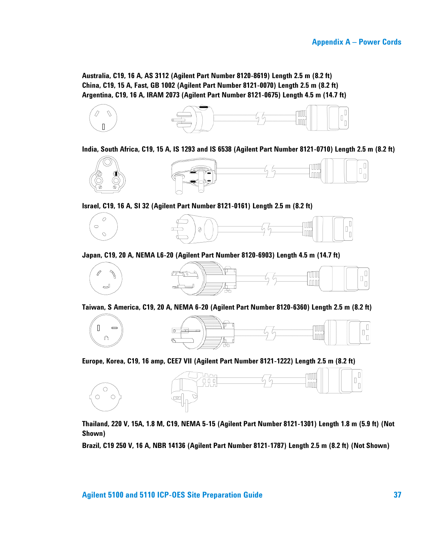**Australia, C19, 16 A, AS 3112 (Agilent Part Number 8120-8619) Length 2.5 m (8.2 ft) China, C19, 15 A, Fast, GB 1002 (Agilent Part Number 8121-0070) Length 2.5 m (8.2 ft) Argentina, C19, 16 A, IRAM 2073 (Agilent Part Number 8121-0675) Length 4.5 m (14.7 ft)**



**India, South Africa, C19, 15 A, IS 1293 and IS 6538 (Agilent Part Number 8121-0710) Length 2.5 m (8.2 ft)**



**Israel, C19, 16 A, SI 32 (Agilent Part Number 8121-0161) Length 2.5 m (8.2 ft)**



**Japan, C19, 20 A, NEMA L6-20 (Agilent Part Number 8120-6903) Length 4.5 m (14.7 ft)**



**Taiwan, S America, C19, 20 A, NEMA 6-20 (Agilent Part Number 8120-6360) Length 2.5 m (8.2 ft)**



**Europe, Korea, C19, 16 amp, CEE7 VII (Agilent Part Number 8121-1222) Length 2.5 m (8.2 ft)**



**Thailand, 220 V, 15A, 1.8 M, C19, NEMA 5-15 (Agilent Part Number 8121-1301) Length 1.8 m (5.9 ft) (Not Shown)**

**Brazil, C19 250 V, 16 A, NBR 14136 (Agilent Part Number 8121-1787) Length 2.5 m (8.2 ft) (Not Shown)**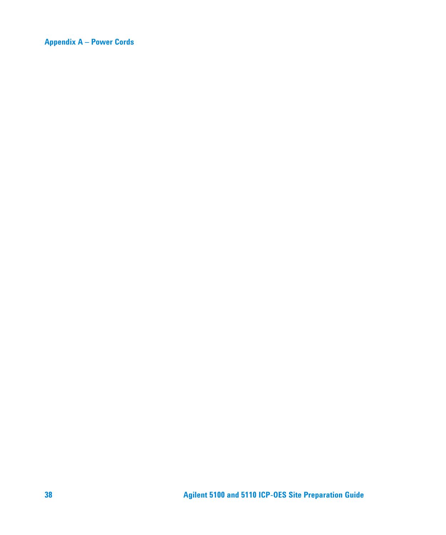**Appendix A – Power Cords**